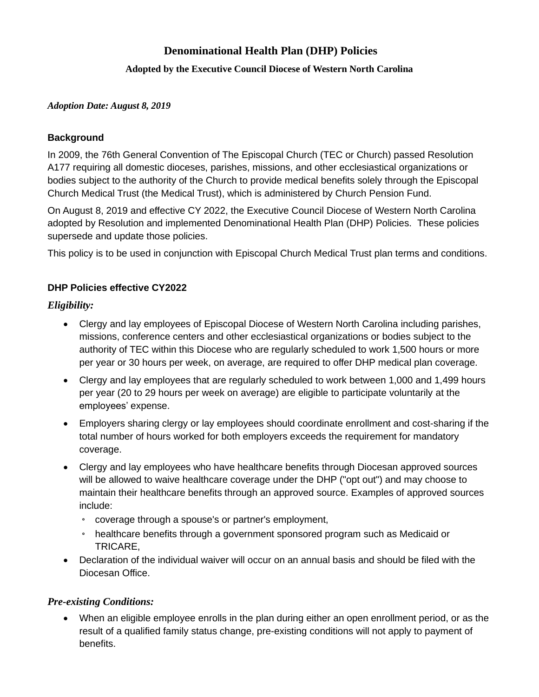#### **Adopted by the Executive Council Diocese of Western North Carolina**

#### *Adoption Date: August 8, 2019*

#### **Background**

In 2009, the 76th General Convention of The Episcopal Church (TEC or Church) passed Resolution A177 requiring all domestic dioceses, parishes, missions, and other ecclesiastical organizations or bodies subject to the authority of the Church to provide medical benefits solely through the Episcopal Church Medical Trust (the Medical Trust), which is administered by Church Pension Fund.

On August 8, 2019 and effective CY 2022, the Executive Council Diocese of Western North Carolina adopted by Resolution and implemented Denominational Health Plan (DHP) Policies. These policies supersede and update those policies.

This policy is to be used in conjunction with Episcopal Church Medical Trust plan terms and conditions.

#### **DHP Policies effective CY2022**

### *Eligibility:*

- Clergy and lay employees of Episcopal Diocese of Western North Carolina including parishes, missions, conference centers and other ecclesiastical organizations or bodies subject to the authority of TEC within this Diocese who are regularly scheduled to work 1,500 hours or more per year or 30 hours per week, on average, are required to offer DHP medical plan coverage.
- Clergy and lay employees that are regularly scheduled to work between 1,000 and 1,499 hours per year (20 to 29 hours per week on average) are eligible to participate voluntarily at the employees' expense.
- Employers sharing clergy or lay employees should coordinate enrollment and cost-sharing if the total number of hours worked for both employers exceeds the requirement for mandatory coverage.
- Clergy and lay employees who have healthcare benefits through Diocesan approved sources will be allowed to waive healthcare coverage under the DHP ("opt out") and may choose to maintain their healthcare benefits through an approved source. Examples of approved sources include:
	- coverage through a spouse's or partner's employment,
	- healthcare benefits through a government sponsored program such as Medicaid or TRICARE,
- Declaration of the individual waiver will occur on an annual basis and should be filed with the Diocesan Office.

### *Pre-existing Conditions:*

• When an eligible employee enrolls in the plan during either an open enrollment period, or as the result of a qualified family status change, pre-existing conditions will not apply to payment of benefits.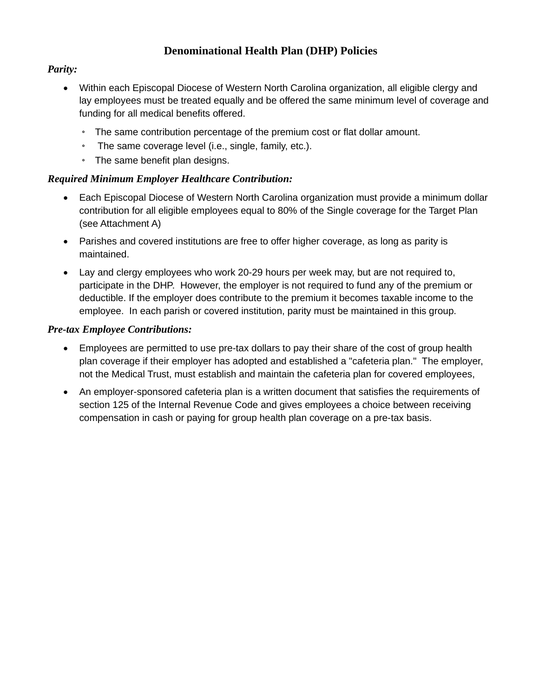### *Parity:*

- Within each Episcopal Diocese of Western North Carolina organization, all eligible clergy and lay employees must be treated equally and be offered the same minimum level of coverage and funding for all medical benefits offered.
	- The same contribution percentage of the premium cost or flat dollar amount.
	- The same coverage level (i.e., single, family, etc.).
	- The same benefit plan designs.

### *Required Minimum Employer Healthcare Contribution:*

- Each Episcopal Diocese of Western North Carolina organization must provide a minimum dollar contribution for all eligible employees equal to 80% of the Single coverage for the Target Plan (see Attachment A)
- Parishes and covered institutions are free to offer higher coverage, as long as parity is maintained.
- Lay and clergy employees who work 20-29 hours per week may, but are not required to, participate in the DHP. However, the employer is not required to fund any of the premium or deductible. If the employer does contribute to the premium it becomes taxable income to the employee. In each parish or covered institution, parity must be maintained in this group.

### *Pre-tax Employee Contributions:*

- Employees are permitted to use pre-tax dollars to pay their share of the cost of group health plan coverage if their employer has adopted and established a "cafeteria plan." The employer, not the Medical Trust, must establish and maintain the cafeteria plan for covered employees,
- An employer-sponsored cafeteria plan is a written document that satisfies the requirements of section 125 of the Internal Revenue Code and gives employees a choice between receiving compensation in cash or paying for group health plan coverage on a pre-tax basis.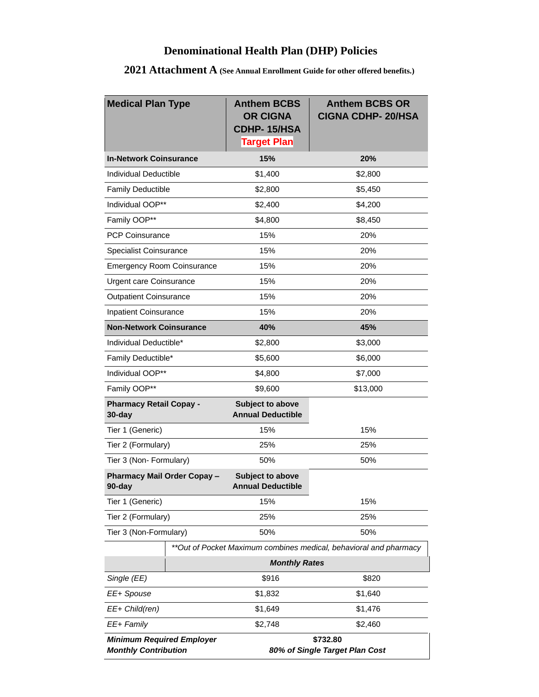| <b>Medical Plan Type</b>                                          |  | <b>Anthem BCBS</b><br><b>OR CIGNA</b><br><b>CDHP-15/HSA</b><br><b>Target Plan</b> | <b>Anthem BCBS OR</b><br><b>CIGNA CDHP-20/HSA</b> |  |  |  |
|-------------------------------------------------------------------|--|-----------------------------------------------------------------------------------|---------------------------------------------------|--|--|--|
| <b>In-Network Coinsurance</b>                                     |  | 15%                                                                               | 20%                                               |  |  |  |
| Individual Deductible                                             |  | \$1,400                                                                           | \$2,800                                           |  |  |  |
| <b>Family Deductible</b>                                          |  | \$2,800                                                                           | \$5,450                                           |  |  |  |
| Individual OOP**                                                  |  | \$2,400                                                                           | \$4,200                                           |  |  |  |
| Family OOP**                                                      |  | \$4,800                                                                           | \$8,450                                           |  |  |  |
| <b>PCP Coinsurance</b>                                            |  | 15%                                                                               | 20%                                               |  |  |  |
| <b>Specialist Coinsurance</b>                                     |  | 15%                                                                               | 20%                                               |  |  |  |
| <b>Emergency Room Coinsurance</b>                                 |  | 15%                                                                               | 20%                                               |  |  |  |
| <b>Urgent care Coinsurance</b>                                    |  | 15%                                                                               | 20%                                               |  |  |  |
| <b>Outpatient Coinsurance</b>                                     |  | 15%                                                                               | 20%                                               |  |  |  |
| <b>Inpatient Coinsurance</b>                                      |  | 15%                                                                               | 20%                                               |  |  |  |
| <b>Non-Network Coinsurance</b>                                    |  | 40%                                                                               | 45%                                               |  |  |  |
| Individual Deductible*                                            |  | \$2,800                                                                           | \$3,000                                           |  |  |  |
| Family Deductible*                                                |  | \$5,600                                                                           | \$6,000                                           |  |  |  |
| Individual OOP**                                                  |  | \$4,800                                                                           | \$7,000                                           |  |  |  |
| Family OOP**                                                      |  | \$9,600                                                                           | \$13,000                                          |  |  |  |
| <b>Pharmacy Retail Copay -</b><br>30-day                          |  | Subject to above<br><b>Annual Deductible</b>                                      |                                                   |  |  |  |
| Tier 1 (Generic)                                                  |  | 15%                                                                               | 15%                                               |  |  |  |
| Tier 2 (Formulary)                                                |  | 25%                                                                               | 25%                                               |  |  |  |
| Tier 3 (Non- Formulary)                                           |  | 50%                                                                               | 50%                                               |  |  |  |
| <b>Pharmacy Mail Order Copay -</b><br>90-day                      |  | Subject to above<br><b>Annual Deductible</b>                                      |                                                   |  |  |  |
| Tier 1 (Generic)                                                  |  | 15%                                                                               | 15%                                               |  |  |  |
| Tier 2 (Formulary)                                                |  | 25%                                                                               | 25%                                               |  |  |  |
| Tier 3 (Non-Formulary)                                            |  | 50%                                                                               | 50%                                               |  |  |  |
| **Out of Pocket Maximum combines medical, behavioral and pharmacy |  |                                                                                   |                                                   |  |  |  |
|                                                                   |  | <b>Monthly Rates</b>                                                              |                                                   |  |  |  |
| Single (EE)                                                       |  | \$916                                                                             | \$820                                             |  |  |  |
| EE+ Spouse                                                        |  | \$1,832                                                                           | \$1,640                                           |  |  |  |
| EE+ Child(ren)                                                    |  | \$1,649                                                                           | \$1,476                                           |  |  |  |
| EE+ Family                                                        |  | \$2,748                                                                           | \$2,460                                           |  |  |  |
| <b>Minimum Required Employer</b><br><b>Monthly Contribution</b>   |  | \$732.80<br>80% of Single Target Plan Cost                                        |                                                   |  |  |  |

### **2021 Attachment A (See Annual Enrollment Guide for other offered benefits.)**